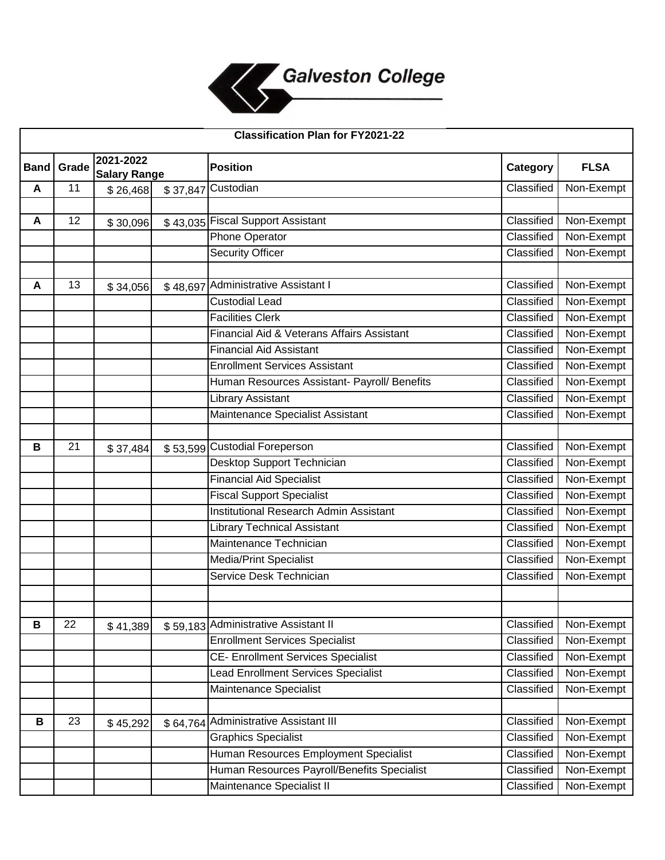

| <b>Classification Plan for FY2021-22</b> |       |                                  |          |                                              |            |             |  |  |  |
|------------------------------------------|-------|----------------------------------|----------|----------------------------------------------|------------|-------------|--|--|--|
| <b>Band</b>                              | Grade | 2021-2022<br><b>Salary Range</b> |          | <b>Position</b>                              | Category   | <b>FLSA</b> |  |  |  |
| A                                        | 11    | \$26,468                         | \$37,847 | Custodian                                    | Classified | Non-Exempt  |  |  |  |
|                                          |       |                                  |          |                                              |            |             |  |  |  |
| A                                        | 12    | \$30,096                         |          | \$43,035 Fiscal Support Assistant            | Classified | Non-Exempt  |  |  |  |
|                                          |       |                                  |          | Phone Operator                               | Classified | Non-Exempt  |  |  |  |
|                                          |       |                                  |          | <b>Security Officer</b>                      | Classified | Non-Exempt  |  |  |  |
|                                          |       |                                  |          |                                              |            |             |  |  |  |
| A                                        | 13    | \$34,056                         | \$48,697 | <b>Administrative Assistant I</b>            | Classified | Non-Exempt  |  |  |  |
|                                          |       |                                  |          | <b>Custodial Lead</b>                        | Classified | Non-Exempt  |  |  |  |
|                                          |       |                                  |          | <b>Facilities Clerk</b>                      | Classified | Non-Exempt  |  |  |  |
|                                          |       |                                  |          | Financial Aid & Veterans Affairs Assistant   | Classified | Non-Exempt  |  |  |  |
|                                          |       |                                  |          | <b>Financial Aid Assistant</b>               | Classified | Non-Exempt  |  |  |  |
|                                          |       |                                  |          | <b>Enrollment Services Assistant</b>         | Classified | Non-Exempt  |  |  |  |
|                                          |       |                                  |          | Human Resources Assistant- Payroll/ Benefits | Classified | Non-Exempt  |  |  |  |
|                                          |       |                                  |          | <b>Library Assistant</b>                     | Classified | Non-Exempt  |  |  |  |
|                                          |       |                                  |          | Maintenance Specialist Assistant             | Classified | Non-Exempt  |  |  |  |
|                                          |       |                                  |          |                                              |            |             |  |  |  |
| B                                        | 21    | \$37,484                         |          | \$53,599 Custodial Foreperson                | Classified | Non-Exempt  |  |  |  |
|                                          |       |                                  |          | Desktop Support Technician                   | Classified | Non-Exempt  |  |  |  |
|                                          |       |                                  |          | <b>Financial Aid Specialist</b>              | Classified | Non-Exempt  |  |  |  |
|                                          |       |                                  |          | <b>Fiscal Support Specialist</b>             | Classified | Non-Exempt  |  |  |  |
|                                          |       |                                  |          | Institutional Research Admin Assistant       | Classified | Non-Exempt  |  |  |  |
|                                          |       |                                  |          | <b>Library Technical Assistant</b>           | Classified | Non-Exempt  |  |  |  |
|                                          |       |                                  |          | Maintenance Technician                       | Classified | Non-Exempt  |  |  |  |
|                                          |       |                                  |          | <b>Media/Print Specialist</b>                | Classified | Non-Exempt  |  |  |  |
|                                          |       |                                  |          | Service Desk Technician                      | Classified | Non-Exempt  |  |  |  |
|                                          |       |                                  |          |                                              |            |             |  |  |  |
|                                          |       |                                  |          |                                              |            |             |  |  |  |
| B                                        | 22    | \$41,389                         |          | \$59,183 Administrative Assistant II         | Classified | Non-Exempt  |  |  |  |
|                                          |       |                                  |          | <b>Enrollment Services Specialist</b>        | Classified | Non-Exempt  |  |  |  |
|                                          |       |                                  |          | <b>CE- Enrollment Services Specialist</b>    | Classified | Non-Exempt  |  |  |  |
|                                          |       |                                  |          | <b>Lead Enrollment Services Specialist</b>   | Classified | Non-Exempt  |  |  |  |
|                                          |       |                                  |          | Maintenance Specialist                       | Classified | Non-Exempt  |  |  |  |
|                                          |       |                                  |          |                                              |            |             |  |  |  |
| В                                        | 23    | \$45,292                         |          | \$64,764 Administrative Assistant III        | Classified | Non-Exempt  |  |  |  |
|                                          |       |                                  |          | <b>Graphics Specialist</b>                   | Classified | Non-Exempt  |  |  |  |
|                                          |       |                                  |          | Human Resources Employment Specialist        | Classified | Non-Exempt  |  |  |  |
|                                          |       |                                  |          | Human Resources Payroll/Benefits Specialist  | Classified | Non-Exempt  |  |  |  |
|                                          |       |                                  |          | Maintenance Specialist II                    | Classified | Non-Exempt  |  |  |  |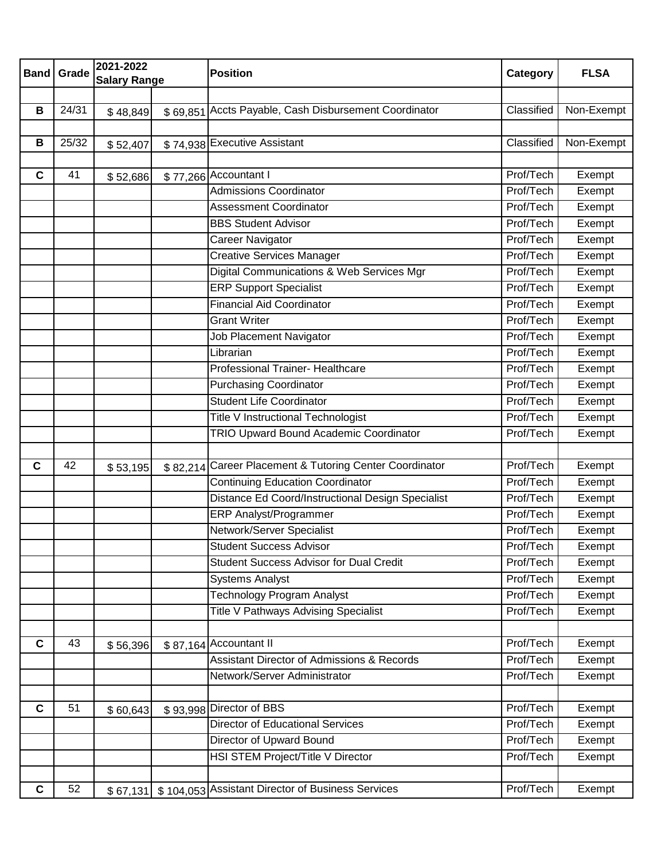| 2021-2022<br><b>Position</b><br><b>Band</b><br>Grade                                        | Category   | <b>FLSA</b> |
|---------------------------------------------------------------------------------------------|------------|-------------|
| <b>Salary Range</b>                                                                         |            |             |
| Accts Payable, Cash Disbursement Coordinator<br>24/31<br>B                                  | Classified | Non-Exempt  |
| \$48,849<br>\$69,851                                                                        |            |             |
| B<br>25/32<br>\$74,938 Executive Assistant                                                  | Classified | Non-Exempt  |
| \$52,407                                                                                    |            |             |
| 41<br>\$77,266 Accountant I<br>C<br>\$52,686                                                | Prof/Tech  | Exempt      |
| <b>Admissions Coordinator</b>                                                               | Prof/Tech  | Exempt      |
| <b>Assessment Coordinator</b>                                                               | Prof/Tech  | Exempt      |
| <b>BBS Student Advisor</b>                                                                  | Prof/Tech  | Exempt      |
| Career Navigator                                                                            | Prof/Tech  | Exempt      |
| <b>Creative Services Manager</b>                                                            | Prof/Tech  | Exempt      |
| Digital Communications & Web Services Mgr                                                   | Prof/Tech  | Exempt      |
| <b>ERP Support Specialist</b>                                                               | Prof/Tech  | Exempt      |
| <b>Financial Aid Coordinator</b>                                                            | Prof/Tech  | Exempt      |
| <b>Grant Writer</b>                                                                         | Prof/Tech  | Exempt      |
| <b>Job Placement Navigator</b>                                                              | Prof/Tech  | Exempt      |
| Librarian                                                                                   | Prof/Tech  | Exempt      |
| <b>Professional Trainer- Healthcare</b>                                                     | Prof/Tech  | Exempt      |
| <b>Purchasing Coordinator</b>                                                               | Prof/Tech  | Exempt      |
| <b>Student Life Coordinator</b>                                                             | Prof/Tech  | Exempt      |
| Title V Instructional Technologist                                                          | Prof/Tech  | Exempt      |
| TRIO Upward Bound Academic Coordinator                                                      | Prof/Tech  | Exempt      |
|                                                                                             |            |             |
| \$82,214 Career Placement & Tutoring Center Coordinator<br>C<br>42<br>\$53,195              | Prof/Tech  | Exempt      |
| <b>Continuing Education Coordinator</b>                                                     | Prof/Tech  | Exempt      |
| Distance Ed Coord/Instructional Design Specialist                                           | Prof/Tech  | Exempt      |
| <b>ERP Analyst/Programmer</b>                                                               | Prof/Tech  | Exempt      |
| Network/Server Specialist                                                                   | Prof/Tech  | Exempt      |
| <b>Student Success Advisor</b>                                                              | Prof/Tech  | Exempt      |
| <b>Student Success Advisor for Dual Credit</b>                                              | Prof/Tech  | Exempt      |
| <b>Systems Analyst</b>                                                                      | Prof/Tech  | Exempt      |
| <b>Technology Program Analyst</b>                                                           | Prof/Tech  | Exempt      |
| <b>Title V Pathways Advising Specialist</b>                                                 | Prof/Tech  | Exempt      |
| 43<br>C                                                                                     | Prof/Tech  | Exempt      |
| \$87,164 Accountant II<br>\$56,396<br><b>Assistant Director of Admissions &amp; Records</b> | Prof/Tech  | Exempt      |
| Network/Server Administrator                                                                | Prof/Tech  | Exempt      |
|                                                                                             |            |             |
| \$93,998 Director of BBS<br>$\mathbf c$<br>51<br>\$60,643                                   | Prof/Tech  | Exempt      |
| <b>Director of Educational Services</b>                                                     | Prof/Tech  | Exempt      |
| Director of Upward Bound                                                                    | Prof/Tech  | Exempt      |
| HSI STEM Project/Title V Director                                                           | Prof/Tech  | Exempt      |
|                                                                                             |            |             |
| 52<br>\$104,053 Assistant Director of Business Services<br>C<br>\$67,131                    | Prof/Tech  | Exempt      |